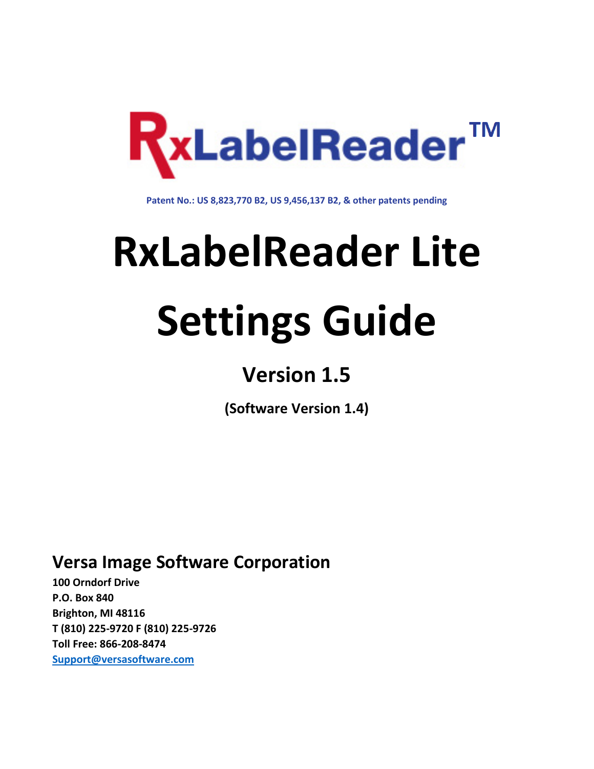

**Patent No.: US 8,823,770 B2, US 9,456,137 B2, & other patents pending**

# **RxLabelReader Lite**

## **Settings Guide**

### **Version 1.5**

**(Software Version 1.4)**

**Versa Image Software Corporation**

**100 Orndorf Drive P.O. Box 840 Brighton, MI 48116 T (810) 225-9720 F (810) 225-9726 Toll Free: 866-208-8474 [Support@versasoftware.com](mailto:support@versasoftware.com)**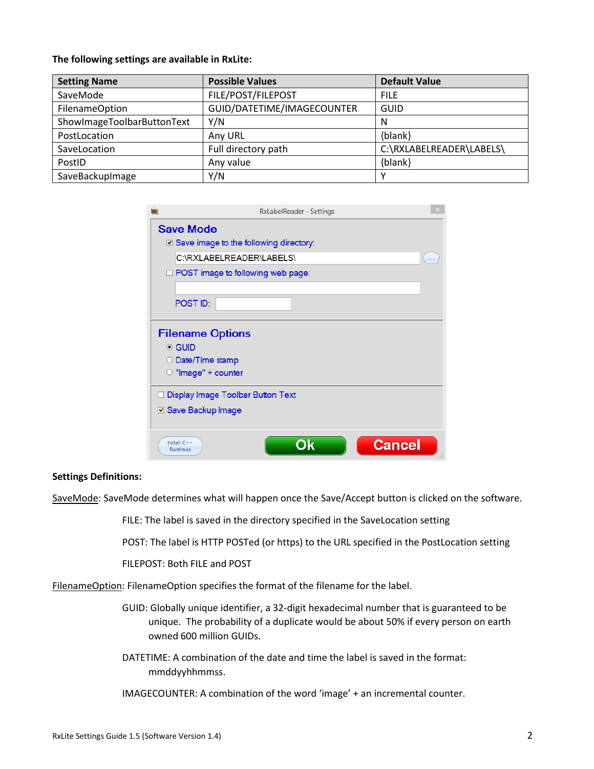#### **The following settings are available in RxLite:**

| <b>Setting Name</b>        | <b>Possible Values</b>     | <b>Default Value</b>     |  |
|----------------------------|----------------------------|--------------------------|--|
| SaveMode                   | FILE/POST/FILEPOST         | <b>FILE</b>              |  |
| <b>FilenameOption</b>      | GUID/DATETIME/IMAGECOUNTER | <b>GUID</b>              |  |
| ShowImageToolbarButtonText | Y/N                        | N                        |  |
| PostLocation               | Any URL                    | {blank}                  |  |
| SaveLocation               | Full directory path        | C:\RXLABELREADER\LABELS\ |  |
| PostID                     | Any value                  | {blank}                  |  |
| SaveBackupImage            | Y/N                        |                          |  |

|                           | <b>RxLabelReader - Settings</b>               |  |  |
|---------------------------|-----------------------------------------------|--|--|
|                           | <b>Save Mode</b>                              |  |  |
|                           | $\Box$ Save image to the following directory: |  |  |
|                           | C:\RXLABELREADER\LABELS\                      |  |  |
|                           | $\Box$ POST image to following web page:      |  |  |
|                           |                                               |  |  |
|                           | POST ID:                                      |  |  |
|                           |                                               |  |  |
|                           | <b>Filename Options</b>                       |  |  |
| $\bullet$ GUID            |                                               |  |  |
| $\circ$                   | Date/Time stamp                               |  |  |
|                           | $\circ$ "Image" + counter                     |  |  |
|                           | Display Image Toolbar Button Text             |  |  |
|                           | ☑ Save Backup Image                           |  |  |
|                           |                                               |  |  |
|                           |                                               |  |  |
| Install $C++$<br>Runtimes | Ok<br><b>Cancel</b>                           |  |  |

#### **Settings Definitions:**

SaveMode: SaveMode determines what will happen once the Save/Accept button is clicked on the software.

FILE: The label is saved in the directory specified in the SaveLocation setting

POST: The label is HTTP POSTed (or https) to the URL specified in the PostLocation setting

FILEPOST: Both FILE and POST

FilenameOption: FilenameOption specifies the format of the filename for the label.

GUID: Globally unique identifier, a 32-digit hexadecimal number that is guaranteed to be unique. The probability of a duplicate would be about 50% if every person on earth owned 600 million GUIDs.

DATETIME: A combination of the date and time the label is saved in the format: mmddyyhhmmss.

IMAGECOUNTER: A combination of the word 'image' + an incremental counter.